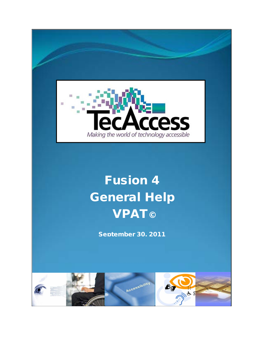

# Fusion 4 General Help **VPAT©**

September 30, 2011

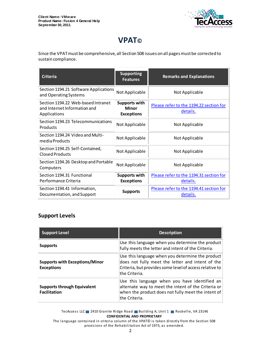

# **VPAT©**

Since the VPAT must be comprehensive, all Section 508 issues on all pages must be corrected to sustain compliance.

| <b>Criteria</b>                                                                    | <b>Supporting</b><br><b>Features</b>               | <b>Remarks and Explanations</b>                     |
|------------------------------------------------------------------------------------|----------------------------------------------------|-----------------------------------------------------|
| Section 1194.21 Software Applications<br>and Operating Systems                     | Not Applicable                                     | Not Applicable                                      |
| Section 1194.22 Web-based Intranet<br>and Internet Information and<br>Applications | <b>Supports with</b><br>Minor<br><b>Exceptions</b> | Please refer to the 1194.22 section for<br>details. |
| Section 1194.23 Telecommunications<br>Products                                     | Not Applicable                                     | Not Applicable                                      |
| Section 1194.24 Video and Multi-<br>media Products                                 | Not Applicable                                     | Not Applicable                                      |
| Section 1194.25 Self-Contained,<br>Closed Products                                 | Not Applicable                                     | Not Applicable                                      |
| Section 1194.26 Desktop and Portable<br>Computers                                  | Not Applicable                                     | Not Applicable                                      |
| Section 1194.31 Functional<br>Performance Criteria                                 | Supports with<br><b>Exceptions</b>                 | Please refer to the 1194.31 section for<br>details. |
| Section 1194.41 Information,<br>Documentation, and Support                         | <b>Supports</b>                                    | Please refer to the 1194.41 section for<br>details. |

#### **Support Levels**

| <b>Support Level</b>                                       | <b>Description</b>                                                                                                                                                                |
|------------------------------------------------------------|-----------------------------------------------------------------------------------------------------------------------------------------------------------------------------------|
| <b>Supports</b>                                            | Use this language when you determine the product<br>fully meets the letter and intent of the Criteria.                                                                            |
| <b>Supports with Exceptions/Minor</b><br><b>Exceptions</b> | Use this language when you determine the product<br>does not fully meet the letter and intent of the<br>Criteria, but provides some level of access relative to<br>lthe Criteria. |
| <b>Supports through Equivalent</b><br><b>Facilitation</b>  | Use this language when you have identified an<br>alternate way to meet the intent of the Criteria or<br>when the product does not fully meet the intent of<br>lthe Criteria.      |

TecAccess LLC 2410 Granite Ridge Road Building A, Unit 1 Rockville, VA 23146 **CONFIDENTIAL AND PROPRIETARY**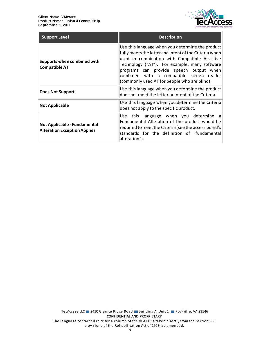

| <b>Support Level</b>                                                       | <b>Description</b>                                                                                                                                                                                                                                                                                                                                  |
|----------------------------------------------------------------------------|-----------------------------------------------------------------------------------------------------------------------------------------------------------------------------------------------------------------------------------------------------------------------------------------------------------------------------------------------------|
| Supports when combined with<br><b>Compatible AT</b>                        | Use this language when you determine the product<br>fully meets the letter and intent of the Criteria when<br>used in combination with Compatible Assistive<br>Technology ("AT"). For example, many software<br>programs can provide speech output when<br>combined with a compatible screen reader<br>(commonly used AT for people who are blind). |
| <b>Does Not Support</b>                                                    | Use this language when you determine the product<br>does not meet the letter or intent of the Criteria.                                                                                                                                                                                                                                             |
| <b>Not Applicable</b>                                                      | Use this language when you determine the Criteria<br>does not apply to the specific product.                                                                                                                                                                                                                                                        |
| <b>Not Applicable - Fundamental</b><br><b>Alteration Exception Applies</b> | Use this language when you determine a<br>Fundamental Alteration of the product would be<br>required to meet the Criteria (see the access board's<br>standards for the definition of "fundamental<br>alteration").                                                                                                                                  |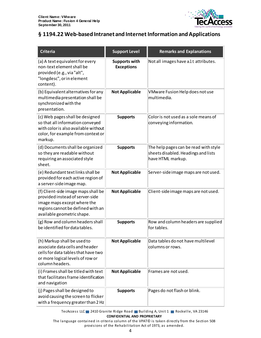

# <span id="page-3-0"></span>**§ 1194.22 Web-based Intranet and Internet Information and Applications**

| <b>Criteria</b>                                                                                                                                                          | <b>Support Level</b>                      | <b>Remarks and Explanations</b>                                                                   |
|--------------------------------------------------------------------------------------------------------------------------------------------------------------------------|-------------------------------------------|---------------------------------------------------------------------------------------------------|
| (a) A text equivalent for every<br>non-text element shall be<br>provided (e.g., via "alt",<br>"longdesc", or in element<br>content).                                     | <b>Supports with</b><br><b>Exceptions</b> | Not all images have alt attributes.                                                               |
| (b) Equivalent alternatives for any<br>multimedia presentation shall be<br>synchronized with the<br>presentation.                                                        | <b>Not Applicable</b>                     | VMware Fusion Help does not use<br>multimedia.                                                    |
| (c) Web pages shall be designed<br>so that all information conveyed<br>with color is also available without<br>color, for example from context or<br>markup.             | <b>Supports</b>                           | Color is not used as a sole means of<br>conveying information.                                    |
| (d) Documents shall be organized<br>so they are readable without<br>requiring an associated style<br>sheet.                                                              | <b>Supports</b>                           | The help pages can be read with style<br>sheets disabled. Headings and lists<br>have HTML markup. |
| (e) Redundant text links shall be<br>provided for each active region of<br>a server-side image map.                                                                      | <b>Not Applicable</b>                     | Server-side image maps are not used.                                                              |
| (f) Client-side image maps shall be<br>provided instead of server-side<br>image maps except where the<br>regions cannot be defined with an<br>available geometric shape. | <b>Not Applicable</b>                     | Client-side image maps are not used.                                                              |
| (g) Row and column headers shall<br>be identified for data tables.                                                                                                       | <b>Supports</b>                           | Row and column headers are supplied<br>for tables.                                                |
| (h) Markup shall be used to<br>associate data cells and header<br>cells for data tables that have two<br>or more logical levels of row or<br>column headers.             | <b>Not Applicable</b>                     | Data tables do not have multilevel<br>columns or rows.                                            |
| (i) Frames shall be titled with text<br>that facilitates frame identification<br>and navigation                                                                          | <b>Not Applicable</b>                     | Frames are not used.                                                                              |
| (j) Pages shall be designed to<br>avoid causing the screen to flicker<br>with a frequency greater than 2 Hz                                                              | <b>Supports</b>                           | Pages do not flash or blink.                                                                      |

TecAccess LLC 2410 Granite Ridge Road Building A, Unit 1 Rockville, VA 23146 **CONFIDENTIAL AND PROPRIETARY**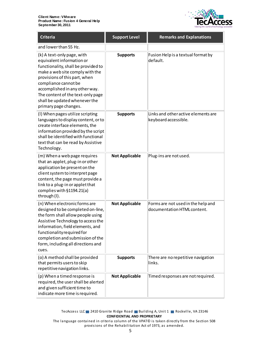

| <b>Criteria</b>                                                                                                                                                                                                                                                                                                             | <b>Support Level</b>  | <b>Remarks and Explanations</b>                                   |
|-----------------------------------------------------------------------------------------------------------------------------------------------------------------------------------------------------------------------------------------------------------------------------------------------------------------------------|-----------------------|-------------------------------------------------------------------|
| and lower than 55 Hz.                                                                                                                                                                                                                                                                                                       |                       |                                                                   |
| (k) A text-only page, with<br>equivalent information or<br>functionality, shall be provided to<br>make a web site comply with the<br>provisions of this part, when<br>compliance cannot be<br>accomplished in any other way.<br>The content of the text-only page<br>shall be updated whenever the<br>primary page changes. | <b>Supports</b>       | Fusion Help is a textual format by<br>default.                    |
| (I) When pages utilize scripting<br>languages to display content, or to<br>create interface elements, the<br>information provided by the script<br>shall be identified with functional<br>text that can be read by Assistive<br>Technology.                                                                                 | <b>Supports</b>       | Links and other active elements are<br>keyboard accessible.       |
| (m) When a web page requires<br>that an applet, plug-in or other<br>application be present on the<br>client system to interpret page<br>content, the page must provide a<br>link to a plug-in or applet that<br>complies with §1194.21(a)<br>through (I).                                                                   | <b>Not Applicable</b> | Plug-ins are not used.                                            |
| (n) When electronic forms are<br>designed to be completed on-line,<br>the form shall allow people using<br>Assistive Technology to access the<br>information, field elements, and<br>functionality required for<br>completion and submission of the<br>form, including all directions and<br>cues.                          | <b>Not Applicable</b> | Forms are not used in the help and<br>documentation HTML content. |
| (o) A method shall be provided<br>that permits users to skip<br>repetitive navigation links.                                                                                                                                                                                                                                | <b>Supports</b>       | There are no repetitive navigation<br>links.                      |
| (p) When a timed response is<br>required, the user shall be alerted<br>and given sufficient time to<br>indicate more time is required.                                                                                                                                                                                      | <b>Not Applicable</b> | Timed responses are not required.                                 |

TecAccess LLC 2410 Granite Ridge Road Building A, Unit 1 Rockville, VA 23146 **CONFIDENTIAL AND PROPRIETARY**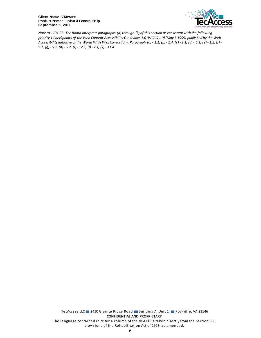

*Note to 1194.22: The Board interprets paragraphs (a) through (k) of this section as consistent with the following priority 1 Checkpoints of the Web Content Accessibility Guidelines 1.0 (WCAG 1.0) (May 5 1999) published by the Web Accessibility Initiative of the World Wide Web Consortium: Paragraph (a) - 1.1, (b) - 1.4, (c) - 2.1, (d) - 6.1, (e) - 1.2, (f) - 9.1, (g) - 5.1, (h) - 5.2, (i) - 12.1, (j) - 7.1, (k) - 11.4.*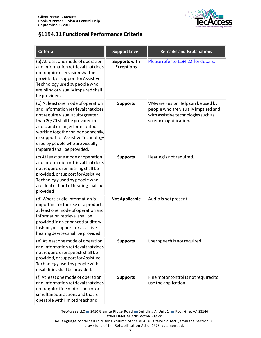

## **§1194.31 Functional Performance Criteria**

| <b>Criteria</b>                                                                                                                                                                                                                                                                                                                     | <b>Support Level</b>                      | <b>Remarks and Explanations</b>                                                                                                           |
|-------------------------------------------------------------------------------------------------------------------------------------------------------------------------------------------------------------------------------------------------------------------------------------------------------------------------------------|-------------------------------------------|-------------------------------------------------------------------------------------------------------------------------------------------|
| (a) At least one mode of operation<br>and information retrieval that does<br>not require user vision shall be<br>provided, or support for Assistive<br>Technology used by people who<br>are blind or visually impaired shall<br>be provided.                                                                                        | <b>Supports with</b><br><b>Exceptions</b> | Please refer to 1194.22 for details.                                                                                                      |
| (b) At least one mode of operation<br>and information retrieval that does<br>not require visual acuity greater<br>than 20/70 shall be provided in<br>audio and enlarged print output<br>working together or independently,<br>or support for Assistive Technology<br>used by people who are visually<br>impaired shall be provided. | <b>Supports</b>                           | VMware Fusion Help can be used by<br>people who are visually impaired and<br>with assistive technologies such as<br>screen magnification. |
| (c) At least one mode of operation<br>and information retrieval that does<br>not require user hearing shall be<br>provided, or support for Assistive<br>Technology used by people who<br>are deaf or hard of hearing shall be<br>provided                                                                                           | <b>Supports</b>                           | Hearing is not required.                                                                                                                  |
| (d) Where audio information is<br>important for the use of a product,<br>at least one mode of operation and<br>information retrieval shall be<br>provided in an enhanced auditory<br>fashion, or support for assistive<br>hearing devices shall be provided.                                                                        | <b>Not Applicable</b>                     | Audio is not present.                                                                                                                     |
| (e) At least one mode of operation<br>and information retrieval that does<br>not require user speech shall be<br>provided, or support for Assistive<br>Technology used by people with<br>disabilities shall be provided.                                                                                                            | <b>Supports</b>                           | User speech is not required.                                                                                                              |
| (f) At least one mode of operation<br>and information retrieval that does<br>not require fine motor control or<br>simultaneous actions and that is<br>operable with limited reach and                                                                                                                                               | <b>Supports</b>                           | Fine motor control is not required to<br>use the application.                                                                             |

TecAccess LLC 2410 Granite Ridge Road Building A, Unit 1 Rockville, VA 23146 **CONFIDENTIAL AND PROPRIETARY**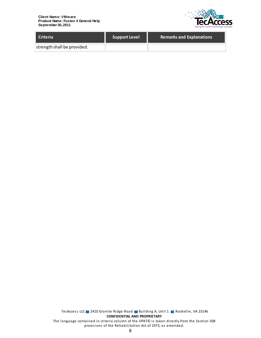

| <b>Criteria</b>             | <b>Support Level</b> | <b>Remarks and Explanations</b> |
|-----------------------------|----------------------|---------------------------------|
| strength shall be provided. |                      |                                 |

TecAccess LLC 2410 Granite Ridge Road Building A, Unit 1 Rockville, VA 23146 **CONFIDENTIAL AND PROPRIETARY** The language contained in criteria column of the VPAT© is taken directly from the Section 508 provisions of the Rehabilitation Act of 1973, as amended.